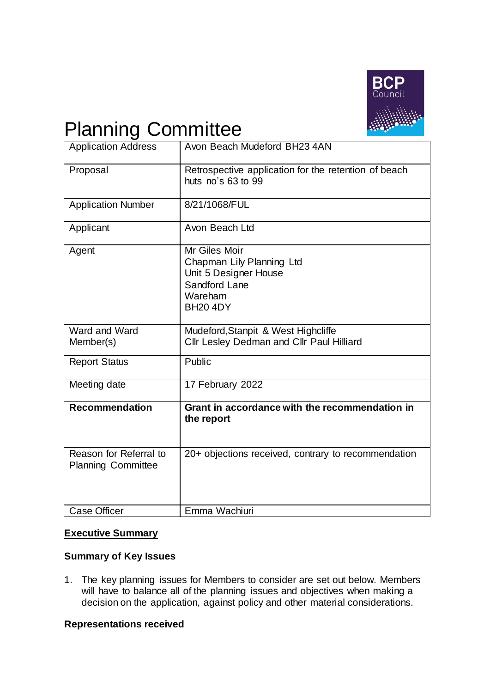

# Planning Committee

| <b>Application Address</b>                          | Avon Beach Mudeford BH23 4AN                                                                                       |  |  |  |  |
|-----------------------------------------------------|--------------------------------------------------------------------------------------------------------------------|--|--|--|--|
| Proposal                                            | Retrospective application for the retention of beach<br>huts $no's 63 to 99$                                       |  |  |  |  |
| <b>Application Number</b>                           | 8/21/1068/FUL                                                                                                      |  |  |  |  |
| Applicant                                           | Avon Beach Ltd                                                                                                     |  |  |  |  |
| Agent                                               | Mr Giles Moir<br>Chapman Lily Planning Ltd<br>Unit 5 Designer House<br>Sandford Lane<br>Wareham<br><b>BH20 4DY</b> |  |  |  |  |
| Ward and Ward<br>Member(s)                          | Mudeford, Stanpit & West Highcliffe<br>Cllr Lesley Dedman and Cllr Paul Hilliard                                   |  |  |  |  |
| <b>Report Status</b>                                | Public                                                                                                             |  |  |  |  |
| Meeting date                                        | 17 February 2022                                                                                                   |  |  |  |  |
| <b>Recommendation</b>                               | Grant in accordance with the recommendation in<br>the report                                                       |  |  |  |  |
| Reason for Referral to<br><b>Planning Committee</b> | 20+ objections received, contrary to recommendation                                                                |  |  |  |  |
| <b>Case Officer</b>                                 | Emma Wachiuri                                                                                                      |  |  |  |  |

## **Executive Summary**

## **Summary of Key Issues**

1. The key planning issues for Members to consider are set out below. Members will have to balance all of the planning issues and objectives when making a decision on the application, against policy and other material considerations.

## **Representations received**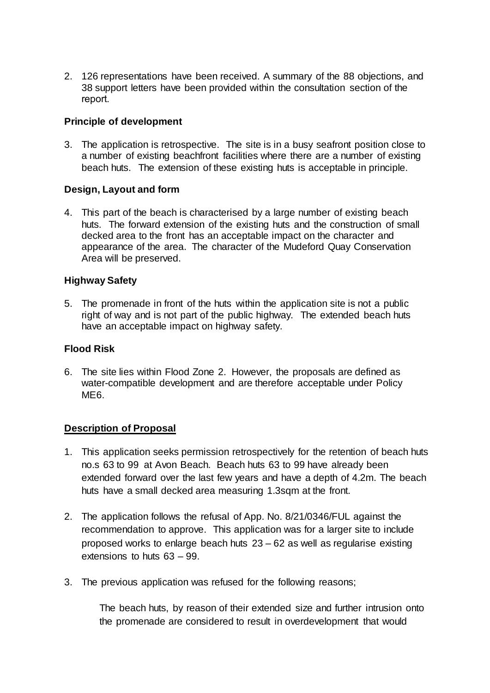2. 126 representations have been received. A summary of the 88 objections, and 38 support letters have been provided within the consultation section of the report. 

## **Principle of development**

3. The application is retrospective. The site is in a busy seafront position close to a number of existing beachfront facilities where there are a number of existing beach huts. The extension of these existing huts is acceptable in principle.

## **Design, Layout and form**

4. This part of the beach is characterised by a large number of existing beach huts. The forward extension of the existing huts and the construction of small decked area to the front has an acceptable impact on the character and appearance of the area. The character of the Mudeford Quay Conservation Area will be preserved.

## **Highway Safety**

5. The promenade in front of the huts within the application site is not a public right of way and is not part of the public highway. The extended beach huts have an acceptable impact on highway safety.

## **Flood Risk**

6. The site lies within Flood Zone 2. However, the proposals are defined as water-compatible development and are therefore acceptable under Policy ME6.

## **Description of Proposal**

- 1. This application seeks permission retrospectively for the retention of beach huts no.s 63 to 99 at Avon Beach. Beach huts 63 to 99 have already been extended forward over the last few years and have a depth of 4.2m. The beach huts have a small decked area measuring 1.3sqm at the front.
- 2. The application follows the refusal of App. No. 8/21/0346/FUL against the recommendation to approve. This application was for a larger site to include proposed works to enlarge beach huts 23 – 62 as well as regularise existing extensions to huts 63 – 99.
- 3. The previous application was refused for the following reasons;

The beach huts, by reason of their extended size and further intrusion onto the promenade are considered to result in overdevelopment that would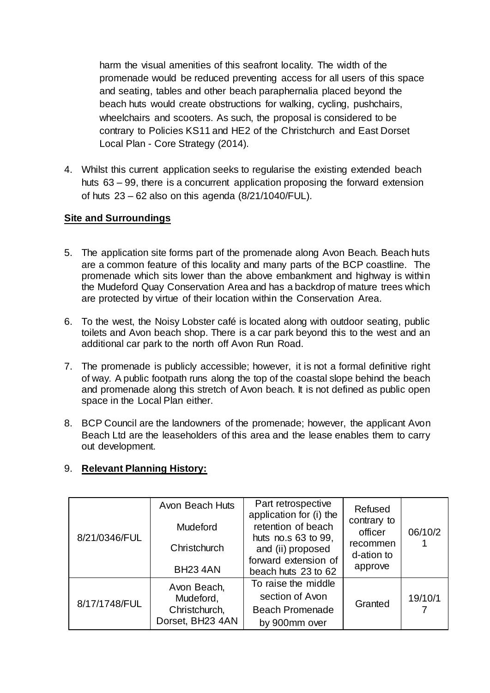harm the visual amenities of this seafront locality. The width of the promenade would be reduced preventing access for all users of this space and seating, tables and other beach paraphernalia placed beyond the beach huts would create obstructions for walking, cycling, pushchairs, wheelchairs and scooters. As such, the proposal is considered to be contrary to Policies KS11 and HE2 of the Christchurch and East Dorset Local Plan - Core Strategy (2014).

4. Whilst this current application seeks to regularise the existing extended beach huts 63 – 99, there is a concurrent application proposing the forward extension of huts  $23 - 62$  also on this agenda  $(8/21/1040/FUL)$ .

## **Site and Surroundings**

- 5. The application site forms part of the promenade along Avon Beach. Beach huts are a common feature of this locality and many parts of the BCP coastline. The promenade which sits lower than the above embankment and highway is within the Mudeford Quay Conservation Area and has a backdrop of mature trees which are protected by virtue of their location within the Conservation Area.
- 6. To the west, the Noisy Lobster café is located along with outdoor seating, public toilets and Avon beach shop. There is a car park beyond this to the west and an additional car park to the north off Avon Run Road.
- 7. The promenade is publicly accessible; however, it is not a formal definitive right of way. A public footpath runs along the top of the coastal slope behind the beach and promenade along this stretch of Avon beach. It is not defined as public open space in the Local Plan either.
- 8. BCP Council are the landowners of the promenade; however, the applicant Avon Beach Ltd are the leaseholders of this area and the lease enables them to carry out development.

## 9. **Relevant Planning History:**

| 8/21/0346/FUL | Avon Beach Huts<br>Mudeford<br>Christchurch<br><b>BH23 4AN</b> | Part retrospective<br>application for (i) the<br>retention of beach<br>huts no.s 63 to 99,<br>and (ii) proposed<br>forward extension of<br>beach huts 23 to 62 | Refused<br>contrary to<br>officer<br>recommen<br>d-ation to<br>approve | 06/10/2 |
|---------------|----------------------------------------------------------------|----------------------------------------------------------------------------------------------------------------------------------------------------------------|------------------------------------------------------------------------|---------|
| 8/17/1748/FUL | Avon Beach,<br>Mudeford,<br>Christchurch,<br>Dorset, BH23 4AN  | To raise the middle<br>section of Avon<br><b>Beach Promenade</b><br>by 900mm over                                                                              | Granted                                                                | 19/10/1 |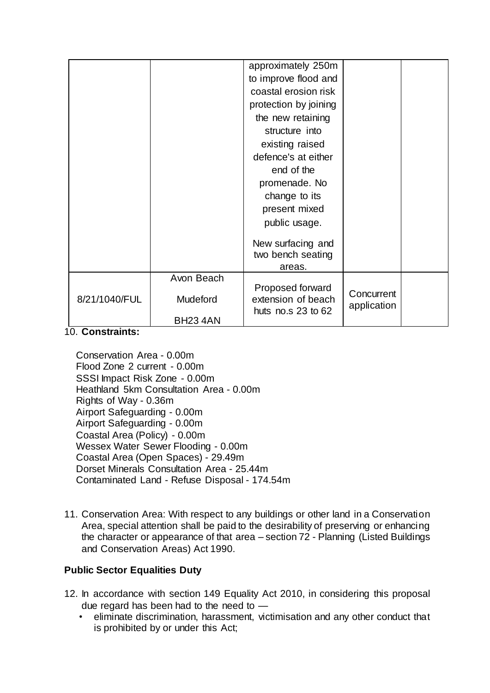|               |                 | approximately 250m                                               |                           |  |
|---------------|-----------------|------------------------------------------------------------------|---------------------------|--|
|               |                 | to improve flood and                                             |                           |  |
|               |                 | coastal erosion risk                                             |                           |  |
|               |                 | protection by joining                                            |                           |  |
|               |                 | the new retaining                                                |                           |  |
|               |                 | structure into                                                   |                           |  |
|               |                 | existing raised                                                  |                           |  |
|               |                 | defence's at either                                              |                           |  |
|               |                 | end of the                                                       |                           |  |
|               |                 | promenade. No                                                    |                           |  |
|               |                 | change to its                                                    |                           |  |
|               |                 | present mixed                                                    |                           |  |
|               |                 | public usage.                                                    |                           |  |
|               |                 | New surfacing and<br>two bench seating<br>areas.                 |                           |  |
|               | Avon Beach      |                                                                  |                           |  |
| 8/21/1040/FUL | Mudeford        | Proposed forward<br>extension of beach<br>huts no.s $23$ to $62$ | Concurrent<br>application |  |
|               | <b>BH23 4AN</b> |                                                                  |                           |  |

#### 10. **Constraints:**

Conservation Area - 0.00m Flood Zone 2 current - 0.00m SSSI Impact Risk Zone - 0.00m Heathland 5km Consultation Area - 0.00m Rights of Way - 0.36m Airport Safeguarding - 0.00m Airport Safeguarding - 0.00m Coastal Area (Policy) - 0.00m Wessex Water Sewer Flooding - 0.00m Coastal Area (Open Spaces) - 29.49m Dorset Minerals Consultation Area - 25.44m Contaminated Land - Refuse Disposal - 174.54m

11. Conservation Area: With respect to any buildings or other land in a Conservation Area, special attention shall be paid to the desirability of preserving or enhancing the character or appearance of that area – section 72 - Planning (Listed Buildings and Conservation Areas) Act 1990.

## **Public Sector Equalities Duty**

- 12. In accordance with section 149 Equality Act 2010, in considering this proposal due regard has been had to the need to -
	- eliminate discrimination, harassment, victimisation and any other conduct that is prohibited by or under this Act;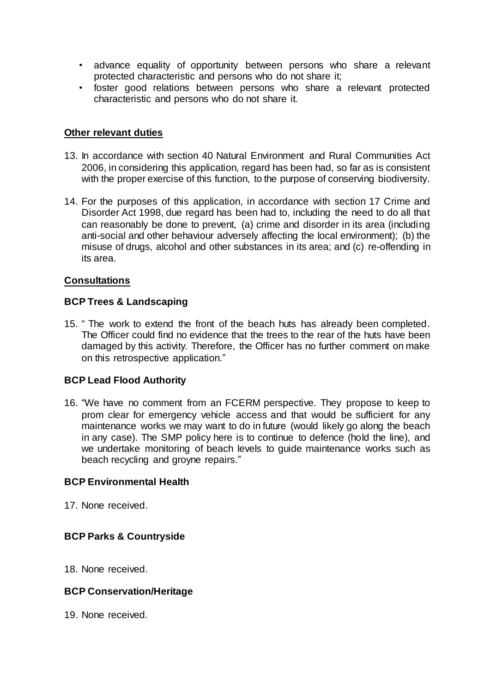- advance equality of opportunity between persons who share a relevant protected characteristic and persons who do not share it;
- foster good relations between persons who share a relevant protected characteristic and persons who do not share it.

## **Other relevant duties**

- 13. In accordance with section 40 Natural Environment and Rural Communities Act 2006, in considering this application, regard has been had, so far as is consistent with the proper exercise of this function, to the purpose of conserving biodiversity.
- 14. For the purposes of this application, in accordance with section 17 Crime and Disorder Act 1998, due regard has been had to, including the need to do all that can reasonably be done to prevent, (a) crime and disorder in its area (including anti-social and other behaviour adversely affecting the local environment); (b) the misuse of drugs, alcohol and other substances in its area; and (c) re-offending in its area.

## **Consultations**

## **BCP Trees & Landscaping**

15. " The work to extend the front of the beach huts has already been completed. The Officer could find no evidence that the trees to the rear of the huts have been damaged by this activity. Therefore, the Officer has no further comment on make on this retrospective application."

## **BCP Lead Flood Authority**

16. "We have no comment from an FCERM perspective. They propose to keep to prom clear for emergency vehicle access and that would be sufficient for any maintenance works we may want to do in future (would likely go along the beach in any case). The SMP policy here is to continue to defence (hold the line), and we undertake monitoring of beach levels to guide maintenance works such as beach recycling and groyne repairs."

## **BCP Environmental Health**

17. None received.

## **BCP Parks & Countryside**

18. None received.

## **BCP Conservation/Heritage**

19. None received.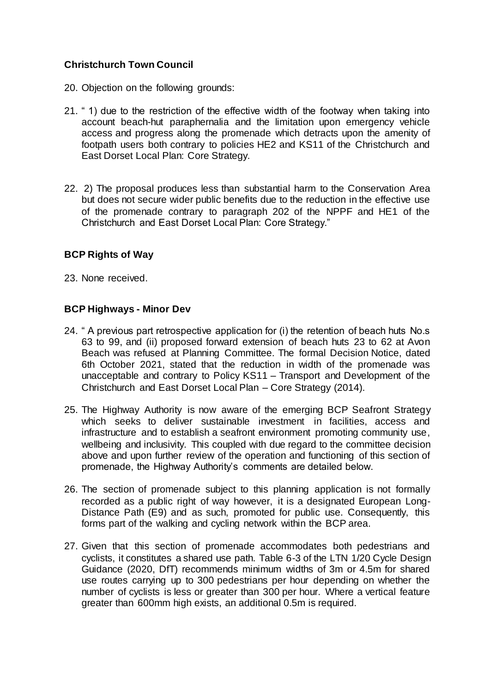## **Christchurch Town Council**

- 20. Objection on the following grounds:
- 21. " 1) due to the restriction of the effective width of the footway when taking into account beach-hut paraphernalia and the limitation upon emergency vehicle access and progress along the promenade which detracts upon the amenity of footpath users both contrary to policies HE2 and KS11 of the Christchurch and East Dorset Local Plan: Core Strategy.
- 22. 2) The proposal produces less than substantial harm to the Conservation Area but does not secure wider public benefits due to the reduction in the effective use of the promenade contrary to paragraph 202 of the NPPF and HE1 of the Christchurch and East Dorset Local Plan: Core Strategy."

## **BCP Rights of Way**

23. None received.

## **BCP Highways - Minor Dev**

- 24. " A previous part retrospective application for (i) the retention of beach huts No.s 63 to 99, and (ii) proposed forward extension of beach huts 23 to 62 at Avon Beach was refused at Planning Committee. The formal Decision Notice, dated 6th October 2021, stated that the reduction in width of the promenade was unacceptable and contrary to Policy KS11 – Transport and Development of the Christchurch and East Dorset Local Plan – Core Strategy (2014).
- 25. The Highway Authority is now aware of the emerging BCP Seafront Strategy which seeks to deliver sustainable investment in facilities, access and infrastructure and to establish a seafront environment promoting community use, wellbeing and inclusivity. This coupled with due regard to the committee decision above and upon further review of the operation and functioning of this section of promenade, the Highway Authority's comments are detailed below.
- 26. The section of promenade subject to this planning application is not formally recorded as a public right of way however, it is a designated European Long-Distance Path (E9) and as such, promoted for public use. Consequently, this forms part of the walking and cycling network within the BCP area.
- 27. Given that this section of promenade accommodates both pedestrians and cyclists, it constitutes a shared use path. Table 6-3 of the LTN 1/20 Cycle Design Guidance (2020, DfT) recommends minimum widths of 3m or 4.5m for shared use routes carrying up to 300 pedestrians per hour depending on whether the number of cyclists is less or greater than 300 per hour. Where a vertical feature greater than 600mm high exists, an additional 0.5m is required.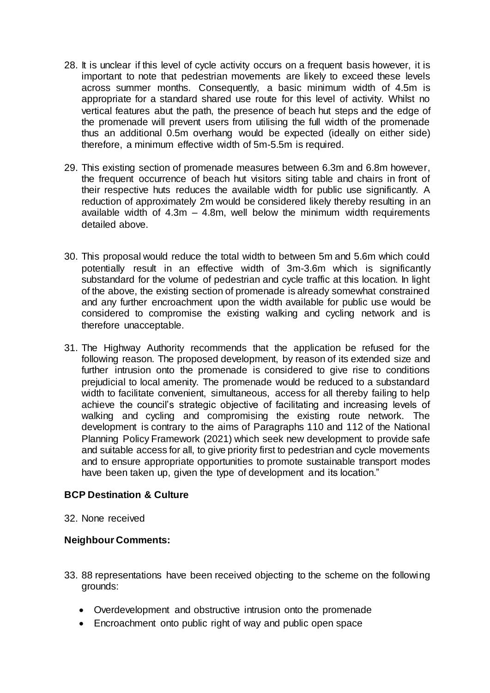- 28. It is unclear if this level of cycle activity occurs on a frequent basis however, it is important to note that pedestrian movements are likely to exceed these levels across summer months. Consequently, a basic minimum width of 4.5m is appropriate for a standard shared use route for this level of activity. Whilst no vertical features abut the path, the presence of beach hut steps and the edge of the promenade will prevent users from utilising the full width of the promenade thus an additional 0.5m overhang would be expected (ideally on either side) therefore, a minimum effective width of 5m-5.5m is required.
- 29. This existing section of promenade measures between 6.3m and 6.8m however, the frequent occurrence of beach hut visitors siting table and chairs in front of their respective huts reduces the available width for public use significantly. A reduction of approximately 2m would be considered likely thereby resulting in an available width of  $4.3m - 4.8m$ , well below the minimum width requirements detailed above.
- 30. This proposal would reduce the total width to between 5m and 5.6m which could potentially result in an effective width of 3m-3.6m which is significantly substandard for the volume of pedestrian and cycle traffic at this location. In light of the above, the existing section of promenade is already somewhat constrained and any further encroachment upon the width available for public use would be considered to compromise the existing walking and cycling network and is therefore unacceptable.
- 31. The Highway Authority recommends that the application be refused for the following reason. The proposed development, by reason of its extended size and further intrusion onto the promenade is considered to give rise to conditions prejudicial to local amenity. The promenade would be reduced to a substandard width to facilitate convenient, simultaneous, access for all thereby failing to help achieve the council's strategic objective of facilitating and increasing levels of walking and cycling and compromising the existing route network. The development is contrary to the aims of Paragraphs 110 and 112 of the National Planning Policy Framework (2021) which seek new development to provide safe and suitable access for all, to give priority first to pedestrian and cycle movements and to ensure appropriate opportunities to promote sustainable transport modes have been taken up, given the type of development and its location."

## **BCP Destination & Culture**

32. None received

## **Neighbour Comments:**

- 33. 88 representations have been received objecting to the scheme on the following grounds:
	- Overdevelopment and obstructive intrusion onto the promenade
	- Encroachment onto public right of way and public open space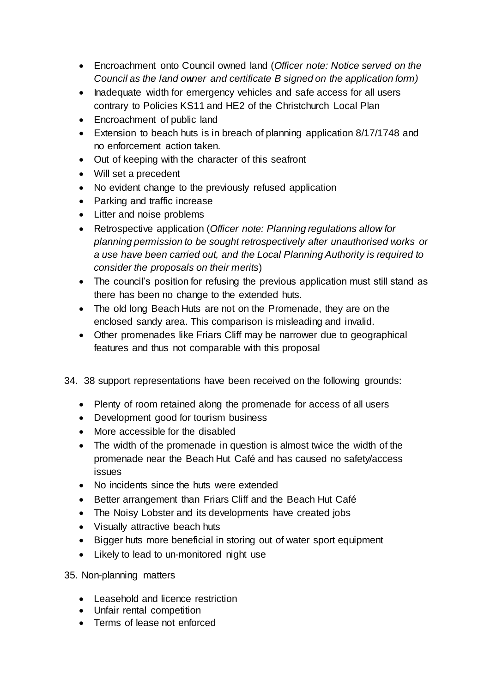- Encroachment onto Council owned land (*Officer note: Notice served on the Council as the land owner and certificate B signed on the application form)*
- Inadequate width for emergency vehicles and safe access for all users contrary to Policies KS11 and HE2 of the Christchurch Local Plan
- Encroachment of public land
- Extension to beach huts is in breach of planning application 8/17/1748 and no enforcement action taken.
- Out of keeping with the character of this seafront
- Will set a precedent
- No evident change to the previously refused application
- Parking and traffic increase
- Litter and noise problems
- Retrospective application (*Officer note: Planning regulations allow for planning permission to be sought retrospectively after unauthorised works or a use have been carried out, and the Local Planning Authority is required to consider the proposals on their merits*)
- The council's position for refusing the previous application must still stand as there has been no change to the extended huts.
- The old long Beach Huts are not on the Promenade, they are on the enclosed sandy area. This comparison is misleading and invalid.
- Other promenades like Friars Cliff may be narrower due to geographical features and thus not comparable with this proposal
- 34. 38 support representations have been received on the following grounds:
	- Plenty of room retained along the promenade for access of all users
	- Development good for tourism business
	- More accessible for the disabled
	- The width of the promenade in question is almost twice the width of the promenade near the Beach Hut Café and has caused no safety/access issues
	- No incidents since the huts were extended
	- Better arrangement than Friars Cliff and the Beach Hut Café
	- The Noisy Lobster and its developments have created jobs
	- Visually attractive beach huts
	- Bigger huts more beneficial in storing out of water sport equipment
	- Likely to lead to un-monitored night use

35. Non-planning matters

- Leasehold and licence restriction
- Unfair rental competition
- Terms of lease not enforced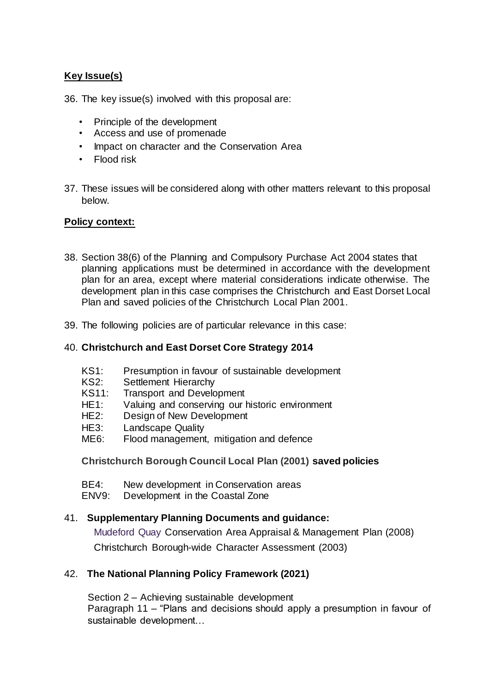# **Key Issue(s)**

36. The key issue(s) involved with this proposal are:

- Principle of the development
- Access and use of promenade
- Impact on character and the Conservation Area
- Flood risk
- 37. These issues will be considered along with other matters relevant to this proposal below.

## **Policy context:**

- 38. Section 38(6) of the Planning and Compulsory Purchase Act 2004 states that planning applications must be determined in accordance with the development plan for an area, except where material considerations indicate otherwise. The development plan in this case comprises the Christchurch and East Dorset Local Plan and saved policies of the Christchurch Local Plan 2001.
- 39. The following policies are of particular relevance in this case:

## 40. **Christchurch and East Dorset Core Strategy 2014**

- KS1: Presumption in favour of sustainable development
- KS2: Settlement Hierarchy
- KS11: Transport and Development
- HE1: Valuing and conserving our historic environment
- HE2: Design of New Development
- HE3: Landscape Quality
- ME6: Flood management, mitigation and defence

**Christchurch Borough Council Local Plan (2001) saved policies**

- BE4: New development in Conservation areas
- ENV9: Development in the Coastal Zone

## 41. **Supplementary Planning Documents and guidance:**

Mudeford Quay Conservation Area Appraisal & Management Plan (2008) Christchurch Borough-wide Character Assessment (2003)

## 42. **The National Planning Policy Framework (2021)**

Section 2 – Achieving sustainable development Paragraph 11 – "Plans and decisions should apply a presumption in favour of sustainable development…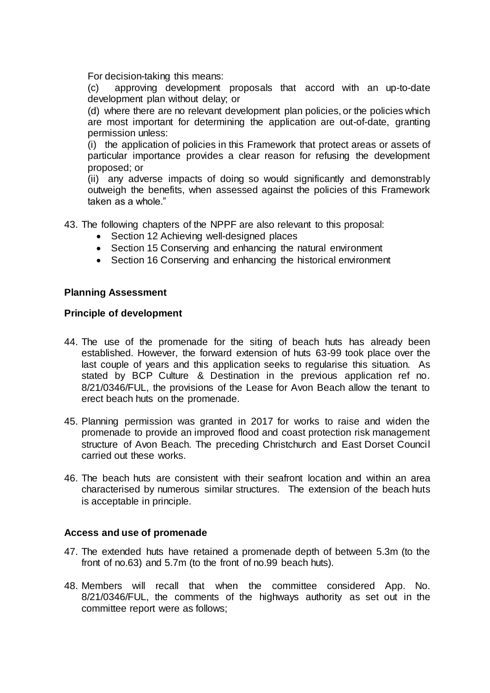For decision-taking this means:

(c) approving development proposals that accord with an up-to-date development plan without delay; or

(d) where there are no relevant development plan policies, or the policies which are most important for determining the application are out-of-date, granting permission unless:

(i) the application of policies in this Framework that protect areas or assets of particular importance provides a clear reason for refusing the development proposed; or

(ii) any adverse impacts of doing so would significantly and demonstrably outweigh the benefits, when assessed against the policies of this Framework taken as a whole."

43. The following chapters of the NPPF are also relevant to this proposal:

- Section 12 Achieving well-designed places
- Section 15 Conserving and enhancing the natural environment
- Section 16 Conserving and enhancing the historical environment

#### **Planning Assessment**

#### **Principle of development**

- 44. The use of the promenade for the siting of beach huts has already been established. However, the forward extension of huts 63-99 took place over the last couple of years and this application seeks to regularise this situation. As stated by BCP Culture & Destination in the previous application ref no. 8/21/0346/FUL, the provisions of the Lease for Avon Beach allow the tenant to erect beach huts on the promenade.
- 45. Planning permission was granted in 2017 for works to raise and widen the promenade to provide an improved flood and coast protection risk management structure of Avon Beach. The preceding Christchurch and East Dorset Council carried out these works.
- 46. The beach huts are consistent with their seafront location and within an area characterised by numerous similar structures. The extension of the beach huts is acceptable in principle.

#### **Access and use of promenade**

- 47. The extended huts have retained a promenade depth of between 5.3m (to the front of no.63) and 5.7m (to the front of no.99 beach huts).
- 48. Members will recall that when the committee considered App. No. 8/21/0346/FUL, the comments of the highways authority as set out in the committee report were as follows;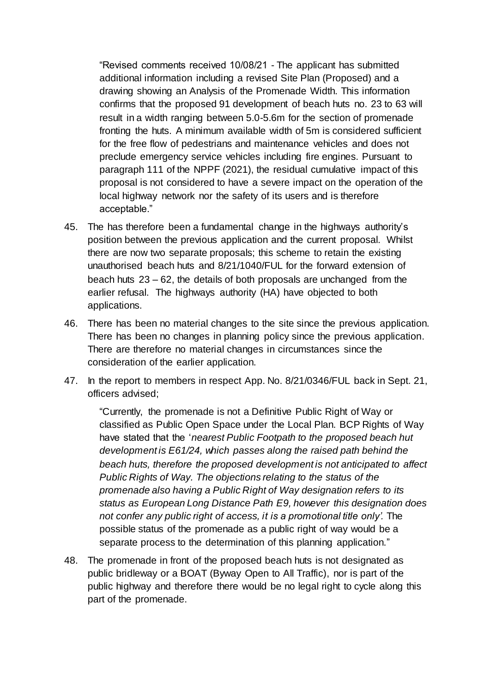"Revised comments received 10/08/21 - The applicant has submitted additional information including a revised Site Plan (Proposed) and a drawing showing an Analysis of the Promenade Width. This information confirms that the proposed 91 development of beach huts no. 23 to 63 will result in a width ranging between 5.0-5.6m for the section of promenade fronting the huts. A minimum available width of 5m is considered sufficient for the free flow of pedestrians and maintenance vehicles and does not preclude emergency service vehicles including fire engines. Pursuant to paragraph 111 of the NPPF (2021), the residual cumulative impact of this proposal is not considered to have a severe impact on the operation of the local highway network nor the safety of its users and is therefore acceptable."

- 45. The has therefore been a fundamental change in the highways authority's position between the previous application and the current proposal. Whilst there are now two separate proposals; this scheme to retain the existing unauthorised beach huts and 8/21/1040/FUL for the forward extension of beach huts 23 – 62, the details of both proposals are unchanged from the earlier refusal. The highways authority (HA) have objected to both applications.
- 46. There has been no material changes to the site since the previous application. There has been no changes in planning policy since the previous application. There are therefore no material changes in circumstances since the consideration of the earlier application.
- 47. In the report to members in respect App. No. 8/21/0346/FUL back in Sept. 21, officers advised;

"Currently, the promenade is not a Definitive Public Right of Way or classified as Public Open Space under the Local Plan. BCP Rights of Way have stated that the '*nearest Public Footpath to the proposed beach hut development is E61/24, which passes along the raised path behind the beach huts, therefore the proposed development is not anticipated to affect Public Rights of Way. The objections relating to the status of the promenade also having a Public Right of Way designation refers to its status as European Long Distance Path E9, however this designation does not confer any public right of access, it is a promotional title only'.* The possible status of the promenade as a public right of way would be a separate process to the determination of this planning application."

48. The promenade in front of the proposed beach huts is not designated as public bridleway or a BOAT (Byway Open to All Traffic), nor is part of the public highway and therefore there would be no legal right to cycle along this part of the promenade.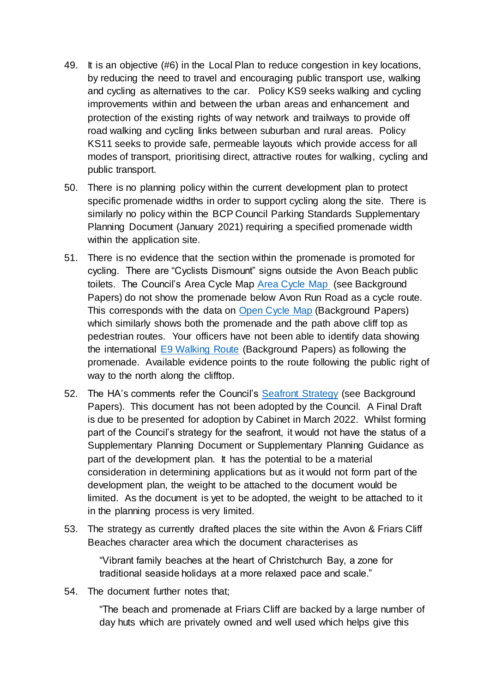- 49. It is an objective (#6) in the Local Plan to reduce congestion in key locations, by reducing the need to travel and encouraging public transport use, walking and cycling as alternatives to the car. Policy KS9 seeks walking and cycling improvements within and between the urban areas and enhancement and protection of the existing rights of way network and trailways to provide off road walking and cycling links between suburban and rural areas. Policy KS11 seeks to provide safe, permeable layouts which provide access for all modes of transport, prioritising direct, attractive routes for walking, cycling and public transport.
- 50. There is no planning policy within the current development plan to protect specific promenade widths in order to support cycling along the site. There is similarly no policy within the BCP Council Parking Standards Supplementary Planning Document (January 2021) requiring a specified promenade width within the application site.
- 51. There is no evidence that the section within the promenade is promoted for cycling. There are "Cyclists Dismount" signs outside the Avon Beach public toilets. The Council's Area Cycle Map [Area Cycle Map](https://www.gettingabout.co.uk/Cycling/Cycling-docs/BCP-Area-Cycle-Map.pdf) (see Background Papers) do not show the promenade below Avon Run Road as a cycle route. This corresponds with the data on [Open Cycle Map](https://www.opencyclemap.org/) (Background Papers) which similarly shows both the promenade and the path above cliff top as pedestrian routes. Your officers have not been able to identify data showing the international [E9 Walking Route](https://ldwa.org.uk/ldp/members/show_path.php?path_name=E-Route+9+UK+Section+Plymouth+to+Dover) (Background Papers) as following the promenade. Available evidence points to the route following the public right of way to the north along the clifftop.
- 52. The HA's comments refer the Council's [Seafront Strategy](https://haveyoursay.bcpcouncil.gov.uk/bcp-seafront-strategy) (see Background Papers). This document has not been adopted by the Council. A Final Draft is due to be presented for adoption by Cabinet in March 2022. Whilst forming part of the Council's strategy for the seafront, it would not have the status of a Supplementary Planning Document or Supplementary Planning Guidance as part of the development plan. It has the potential to be a material consideration in determining applications but as it would not form part of the development plan, the weight to be attached to the document would be limited. As the document is yet to be adopted, the weight to be attached to it in the planning process is very limited.
- 53. The strategy as currently drafted places the site within the Avon & Friars Cliff Beaches character area which the document characterises as

"Vibrant family beaches at the heart of Christchurch Bay, a zone for traditional seaside holidays at a more relaxed pace and scale."

54. The document further notes that;

"The beach and promenade at Friars Cliff are backed by a large number of day huts which are privately owned and well used which helps give this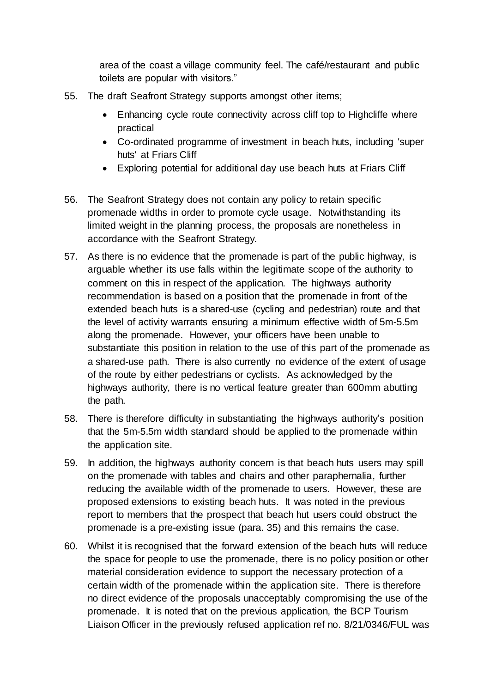area of the coast a village community feel. The café/restaurant and public toilets are popular with visitors."

- 55. The draft Seafront Strategy supports amongst other items;
	- Enhancing cycle route connectivity across cliff top to Highcliffe where practical
	- Co-ordinated programme of investment in beach huts, including 'super huts' at Friars Cliff
	- Exploring potential for additional day use beach huts at Friars Cliff
- 56. The Seafront Strategy does not contain any policy to retain specific promenade widths in order to promote cycle usage. Notwithstanding its limited weight in the planning process, the proposals are nonetheless in accordance with the Seafront Strategy.
- 57. As there is no evidence that the promenade is part of the public highway, is arguable whether its use falls within the legitimate scope of the authority to comment on this in respect of the application. The highways authority recommendation is based on a position that the promenade in front of the extended beach huts is a shared-use (cycling and pedestrian) route and that the level of activity warrants ensuring a minimum effective width of 5m-5.5m along the promenade. However, your officers have been unable to substantiate this position in relation to the use of this part of the promenade as a shared-use path. There is also currently no evidence of the extent of usage of the route by either pedestrians or cyclists. As acknowledged by the highways authority, there is no vertical feature greater than 600mm abutting the path.
- 58. There is therefore difficulty in substantiating the highways authority's position that the 5m-5.5m width standard should be applied to the promenade within the application site.
- 59. In addition, the highways authority concern is that beach huts users may spill on the promenade with tables and chairs and other paraphernalia, further reducing the available width of the promenade to users. However, these are proposed extensions to existing beach huts. It was noted in the previous report to members that the prospect that beach hut users could obstruct the promenade is a pre-existing issue (para. 35) and this remains the case.
- 60. Whilst it is recognised that the forward extension of the beach huts will reduce the space for people to use the promenade, there is no policy position or other material consideration evidence to support the necessary protection of a certain width of the promenade within the application site. There is therefore no direct evidence of the proposals unacceptably compromising the use of the promenade. It is noted that on the previous application, the BCP Tourism Liaison Officer in the previously refused application ref no. 8/21/0346/FUL was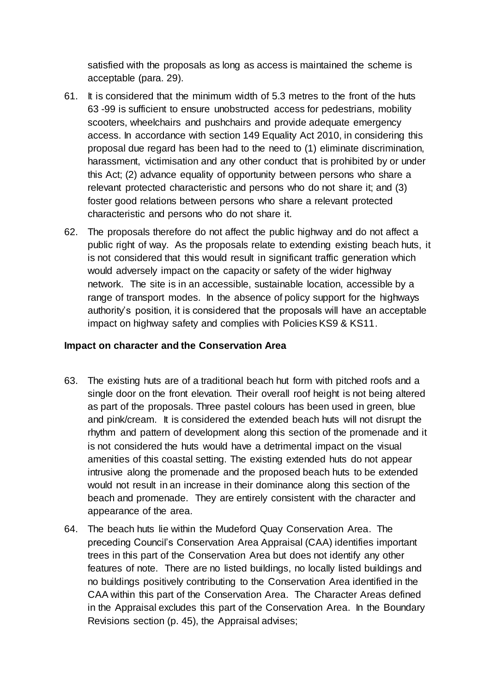satisfied with the proposals as long as access is maintained the scheme is acceptable (para. 29).

- 61. It is considered that the minimum width of 5.3 metres to the front of the huts 63 -99 is sufficient to ensure unobstructed access for pedestrians, mobility scooters, wheelchairs and pushchairs and provide adequate emergency access. In accordance with section 149 Equality Act 2010, in considering this proposal due regard has been had to the need to (1) eliminate discrimination, harassment, victimisation and any other conduct that is prohibited by or under this Act; (2) advance equality of opportunity between persons who share a relevant protected characteristic and persons who do not share it; and (3) foster good relations between persons who share a relevant protected characteristic and persons who do not share it.
- 62. The proposals therefore do not affect the public highway and do not affect a public right of way. As the proposals relate to extending existing beach huts, it is not considered that this would result in significant traffic generation which would adversely impact on the capacity or safety of the wider highway network. The site is in an accessible, sustainable location, accessible by a range of transport modes. In the absence of policy support for the highways authority's position, it is considered that the proposals will have an acceptable impact on highway safety and complies with Policies KS9 & KS11.

## **Impact on character and the Conservation Area**

- 63. The existing huts are of a traditional beach hut form with pitched roofs and a single door on the front elevation. Their overall roof height is not being altered as part of the proposals. Three pastel colours has been used in green, blue and pink/cream. It is considered the extended beach huts will not disrupt the rhythm and pattern of development along this section of the promenade and it is not considered the huts would have a detrimental impact on the visual amenities of this coastal setting. The existing extended huts do not appear intrusive along the promenade and the proposed beach huts to be extended would not result in an increase in their dominance along this section of the beach and promenade. They are entirely consistent with the character and appearance of the area.
- 64. The beach huts lie within the Mudeford Quay Conservation Area. The preceding Council's Conservation Area Appraisal (CAA) identifies important trees in this part of the Conservation Area but does not identify any other features of note. There are no listed buildings, no locally listed buildings and no buildings positively contributing to the Conservation Area identified in the CAA within this part of the Conservation Area. The Character Areas defined in the Appraisal excludes this part of the Conservation Area. In the Boundary Revisions section (p. 45), the Appraisal advises;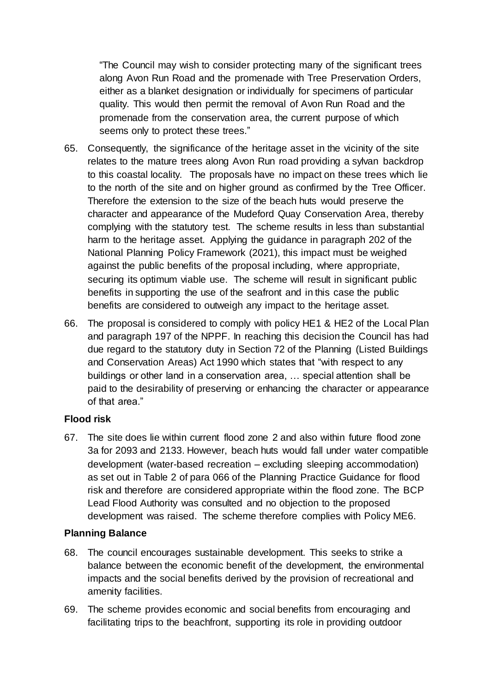"The Council may wish to consider protecting many of the significant trees along Avon Run Road and the promenade with Tree Preservation Orders, either as a blanket designation or individually for specimens of particular quality. This would then permit the removal of Avon Run Road and the promenade from the conservation area, the current purpose of which seems only to protect these trees."

- 65. Consequently, the significance of the heritage asset in the vicinity of the site relates to the mature trees along Avon Run road providing a sylvan backdrop to this coastal locality. The proposals have no impact on these trees which lie to the north of the site and on higher ground as confirmed by the Tree Officer. Therefore the extension to the size of the beach huts would preserve the character and appearance of the Mudeford Quay Conservation Area, thereby complying with the statutory test. The scheme results in less than substantial harm to the heritage asset. Applying the guidance in paragraph 202 of the National Planning Policy Framework (2021), this impact must be weighed against the public benefits of the proposal including, where appropriate, securing its optimum viable use. The scheme will result in significant public benefits in supporting the use of the seafront and in this case the public benefits are considered to outweigh any impact to the heritage asset.
- 66. The proposal is considered to comply with policy HE1 & HE2 of the Local Plan and paragraph 197 of the NPPF. In reaching this decision the Council has had due regard to the statutory duty in Section 72 of the Planning (Listed Buildings and Conservation Areas) Act 1990 which states that "with respect to any buildings or other land in a conservation area, … special attention shall be paid to the desirability of preserving or enhancing the character or appearance of that area."

## **Flood risk**

67. The site does lie within current flood zone 2 and also within future flood zone 3a for 2093 and 2133. However, beach huts would fall under water compatible development (water-based recreation – excluding sleeping accommodation) as set out in Table 2 of para 066 of the Planning Practice Guidance for flood risk and therefore are considered appropriate within the flood zone. The BCP Lead Flood Authority was consulted and no objection to the proposed development was raised. The scheme therefore complies with Policy ME6.

## **Planning Balance**

- 68. The council encourages sustainable development. This seeks to strike a balance between the economic benefit of the development, the environmental impacts and the social benefits derived by the provision of recreational and amenity facilities.
- 69. The scheme provides economic and social benefits from encouraging and facilitating trips to the beachfront, supporting its role in providing outdoor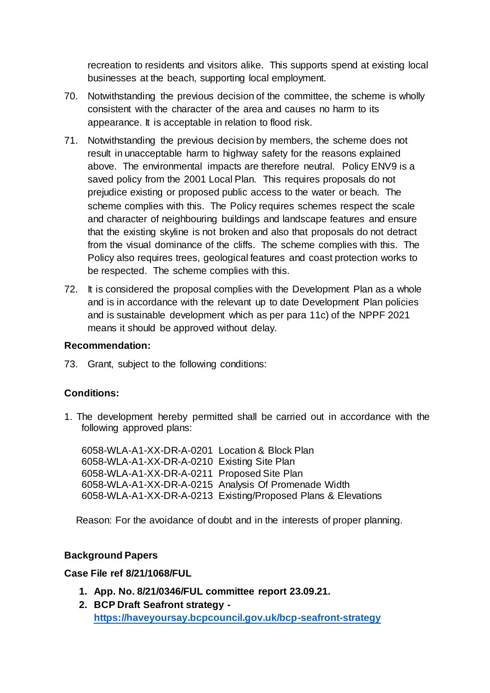recreation to residents and visitors alike. This supports spend at existing local businesses at the beach, supporting local employment.

- 70. Notwithstanding the previous decision of the committee, the scheme is wholly consistent with the character of the area and causes no harm to its appearance. It is acceptable in relation to flood risk.
- 71. Notwithstanding the previous decision by members, the scheme does not result in unacceptable harm to highway safety for the reasons explained above. The environmental impacts are therefore neutral. Policy ENV9 is a saved policy from the 2001 Local Plan. This requires proposals do not prejudice existing or proposed public access to the water or beach. The scheme complies with this. The Policy requires schemes respect the scale and character of neighbouring buildings and landscape features and ensure that the existing skyline is not broken and also that proposals do not detract from the visual dominance of the cliffs. The scheme complies with this. The Policy also requires trees, geological features and coast protection works to be respected. The scheme complies with this.
- 72. It is considered the proposal complies with the Development Plan as a whole and is in accordance with the relevant up to date Development Plan policies and is sustainable development which as per para 11c) of the NPPF 2021 means it should be approved without delay.

## **Recommendation:**

73. Grant, subject to the following conditions:

## **Conditions:**

1. The development hereby permitted shall be carried out in accordance with the following approved plans:

6058-WLA-A1-XX-DR-A-0201 Location & Block Plan 6058-WLA-A1-XX-DR-A-0210 Existing Site Plan 6058-WLA-A1-XX-DR-A-0211 Proposed Site Plan 6058-WLA-A1-XX-DR-A-0215 Analysis Of Promenade Width 6058-WLA-A1-XX-DR-A-0213 Existing/Proposed Plans & Elevations

Reason: For the avoidance of doubt and in the interests of proper planning.

## **Background Papers**

## **Case File ref 8/21/1068/FUL**

- **1. App. No. 8/21/0346/FUL committee report 23.09.21.**
- **2. BCP Draft Seafront strategy <https://haveyoursay.bcpcouncil.gov.uk/bcp-seafront-strategy>**